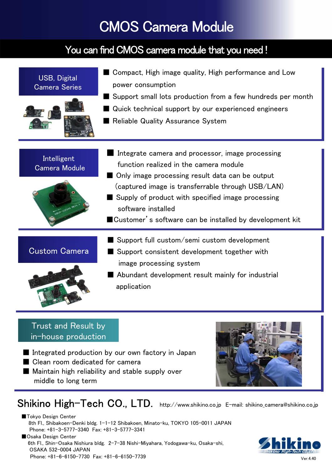# CMOS Camera Module

### You can find CMOS camera module that you need !



■ Clean room dedicated for camera

Phone: +81-6-6150-7730 Fax: +81-6-6150-7739

■ Maintain high reliability and stable supply over middle to long term



# Shikino High-Tech CO., LTD. http://www.shikino.co.jp E-mail: shikino\_camera@shikino.co.jp

■Tokyo Design Center 8th Fl., Shibakoen-Denki bldg. 1-1-12 Shibakoen, Minato-ku, TOKYO 105-0011 JAPAN Phone: +81-3-5777-3340 Fax: +81-3-5777-3341 ■ Osaka Design Center 6th Fl., Shin-Osaka Nishiura bldg. 2-7-38 Nishi-Miyahara, Yodogawa-ku, Osaka-shi, OSAKA 532-0004 JAPAN

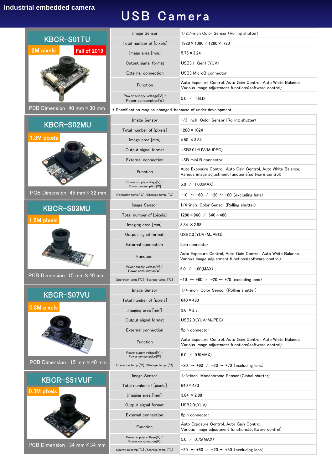# USB Camera

|                             | <b>Image Sensor</b>                                           | 1/2.7-inch Color Sensor (Rolling shutter)                                                                              |  |  |  |  |
|-----------------------------|---------------------------------------------------------------|------------------------------------------------------------------------------------------------------------------------|--|--|--|--|
| <b>KBCR-S01TU</b>           | Total number of [pixels]                                      | $1920 \times 1080 / 1280 \times 720$                                                                                   |  |  |  |  |
| Fall of 2019<br>2M pixels   | Image area [mm]                                               | $5.76 \times 3.24$                                                                                                     |  |  |  |  |
|                             | Output signal format                                          | USB3.1-Gen1 (YUV)                                                                                                      |  |  |  |  |
|                             | External connection                                           | USB3 MicroB connector                                                                                                  |  |  |  |  |
|                             | Function                                                      | Auto Exposure Control, Auto Gain Control, Auto White Balance,<br>Various image adjustment functions (software control) |  |  |  |  |
|                             | Power supply voltage[V] /<br>Power consumption[W]             | 5.0 / T.B.D                                                                                                            |  |  |  |  |
| PCB Dimension 40 mm × 30 mm | * Specification may be changed, because of under development. |                                                                                                                        |  |  |  |  |
| KBCR-S02MU                  | Image Sensor                                                  | 1/3-inch Color Sensor (Rolling shutter)                                                                                |  |  |  |  |
|                             | Total number of [pixels]                                      | $1280 \times 1024$                                                                                                     |  |  |  |  |
| 1.3M pixels                 | Image area [mm]                                               | $4.80 \times 3.84$                                                                                                     |  |  |  |  |
|                             | Output signal format                                          | USB2.0 (YUV/MJPEG)                                                                                                     |  |  |  |  |
|                             | External connection                                           | USB mini B connector                                                                                                   |  |  |  |  |
|                             | Function                                                      | Auto Exposure Control, Auto Gain Control, Auto White Balance,<br>Various image adjustment functions (software control) |  |  |  |  |
|                             | Power supply voltage[V] /<br>Power consumption[W]             | 5.0 / 1.00(MAX)                                                                                                        |  |  |  |  |
| PCB Dimension 45 mm × 32 mm | Operation temp.[°C] /Storage temp. [°C]                       | $-10 \sim +60$ / $-20 \sim +80$ (excluding lens)                                                                       |  |  |  |  |
| KBCR-S03MU                  | Image Sensor                                                  | 1/4-inch Color Sensor (Rolling shutter)                                                                                |  |  |  |  |
|                             | Total number of [pixels]                                      | $1280 \times 960$ / 640 $\times$ 480                                                                                   |  |  |  |  |
| 1.2M pixels                 | Imaging area [mm]                                             | $3.84 \times 2.88$                                                                                                     |  |  |  |  |
|                             | Output signal format                                          | USB2.0 (YUV/MJPEG)                                                                                                     |  |  |  |  |
|                             | External connection                                           | 5pin connector                                                                                                         |  |  |  |  |
|                             | Function                                                      | Auto Exposure Control, Auto Gain Control, Auto White Balance,<br>Various image adjustment functions (software control) |  |  |  |  |
|                             | Power supply voltage[V] /<br>Power consumption[W]             | 5.0 / 1.00(MAX)                                                                                                        |  |  |  |  |
| PCB Dimension 15 mm × 40 mm | Operation temp.[°C] /Storage temp. [°C]                       | $-10 \sim +60$ / $-20 \sim +70$ (excluding lens)                                                                       |  |  |  |  |
| KBCR-S07VU                  | Image Sensor                                                  | 1/4-inch Color Sensor (Rolling shutter)                                                                                |  |  |  |  |
|                             | Total number of [pixels]                                      | $640 \times 480$                                                                                                       |  |  |  |  |
| 0.3M pixels                 | Imaging area [mm]                                             | $3.6 \times 2.7$                                                                                                       |  |  |  |  |
|                             | Output signal format                                          | USB2.0 (YUV/MJPEG)                                                                                                     |  |  |  |  |
|                             | External connection                                           | 5pin connector                                                                                                         |  |  |  |  |
|                             | Function                                                      | Auto Exposure Control, Auto Gain Control, Auto White Balance,<br>Various image adjustment functions(software control)  |  |  |  |  |
|                             | Power supply voltage[V] /<br>Power consumption[W]             | 5.0 / 0.5(MAX)                                                                                                         |  |  |  |  |
| PCB Dimension 15 mm × 40 mm | Operation temp.[°C] /Storage temp. [°C]                       | $-20 \sim +60$ / $-20 \sim +70$ (excluding lens)                                                                       |  |  |  |  |
|                             | Image Sensor                                                  | 1/3-inch Monochrome Sensor (Global shutter)                                                                            |  |  |  |  |
| KBCR-S51VUF                 | Total number of [pixels]                                      | $640 \times 480$                                                                                                       |  |  |  |  |
| 0.3M pixels                 | Imaging area [mm]                                             | $3.84 \times 2.88$                                                                                                     |  |  |  |  |
|                             | Output signal format                                          | USB2.0(YUV)                                                                                                            |  |  |  |  |
|                             | External connection                                           | 5pin connector                                                                                                         |  |  |  |  |
|                             | Function                                                      | Auto Exposure Control, Auto Gain Control,<br>Various image adjustment functions (software control)                     |  |  |  |  |
|                             | Power supply voltage[V] /<br>Power consumption[W]             | $5.0 / 0.75$ (MAX)                                                                                                     |  |  |  |  |
| PCB Dimension 34 mm × 34 mm | Operation temp.[°C] / Storage temp. [°C]                      | $-20 \sim +60$ / $-20 \sim +80$ (excluding lens)                                                                       |  |  |  |  |
|                             |                                                               |                                                                                                                        |  |  |  |  |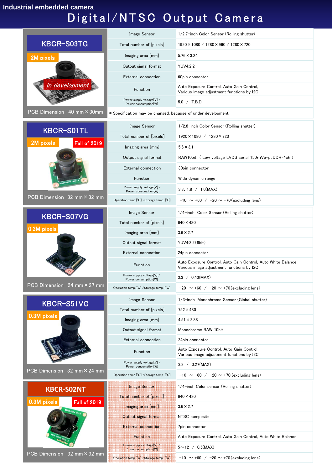### **Industrial embedded camera**

# Digital/NTSC Output Camera

|                                    | Image Sensor                                                  | 1/2.7-inch Color Sensor (Rolling shutter)                                                                 |  |  |  |  |
|------------------------------------|---------------------------------------------------------------|-----------------------------------------------------------------------------------------------------------|--|--|--|--|
| KBCR-S03TG                         | Total number of [pixels]                                      | $1920 \times 1080 / 1280 \times 960 / 1280 \times 720$                                                    |  |  |  |  |
| 2M pixels                          | Imaging area [mm]                                             | $5.76 \times 3.24$                                                                                        |  |  |  |  |
|                                    | Output signal format                                          | <b>YUV4:2:2</b>                                                                                           |  |  |  |  |
|                                    | External connection                                           | 60pin connector                                                                                           |  |  |  |  |
| In development                     | Function                                                      | Auto Exposure Control. Auto Gain Control.<br>Various image adjustment functions by I2C                    |  |  |  |  |
|                                    | Power supply voltage[V] /<br>Power consumption[W]             | 5.0 / T.B.D                                                                                               |  |  |  |  |
| PCB Dimension 40 mm × 30mm         | * Specification may be changed, because of under development. |                                                                                                           |  |  |  |  |
| KBCR-S01TL                         | Image Sensor                                                  | 1/2.8-inch Color Sensor (Rolling shutter)                                                                 |  |  |  |  |
|                                    | Total number of [pixels]                                      | $1920 \times 1080$ / $1280 \times 720$                                                                    |  |  |  |  |
| <b>Fall of 2019</b><br>2M pixels   | Imaging area [mm]                                             | $5.6 \times 3.1$                                                                                          |  |  |  |  |
|                                    | Output signal format                                          | RAW10bit (Low voltage LVDS serial 150mVp-p:DDR-4ch)                                                       |  |  |  |  |
|                                    | External connection                                           | 30pin connector                                                                                           |  |  |  |  |
|                                    | Function                                                      | Wide dynamic range                                                                                        |  |  |  |  |
|                                    | Power supply voltage[V] /<br>Power consumption[W]             | $3.3, 1.8 / 1.0$ (MAX)                                                                                    |  |  |  |  |
| PCB Dimension 32 mm × 32 mm        | Operation temp.[°C] /Storage temp. [°C]                       | $-10 \sim +60$ / $-20 \sim +70$ (excluding lens)                                                          |  |  |  |  |
|                                    | Image Sensor                                                  | 1/4-inch Color Sensor (Rolling shutter)                                                                   |  |  |  |  |
| KBCR-S07VG                         | Total number of [pixels]                                      | $640 \times 480$                                                                                          |  |  |  |  |
| 0.3M pixels                        | Imaging area [mm]                                             | $3.6 \times 2.7$                                                                                          |  |  |  |  |
|                                    | Output signal format                                          | YUV4:2:2 (8bit)                                                                                           |  |  |  |  |
|                                    | External connection                                           | 24pin connector                                                                                           |  |  |  |  |
|                                    | Function                                                      | Auto Exposure Control, Auto Gain Control, Auto White Balance<br>Various image adjustment functions by I2C |  |  |  |  |
|                                    | Power supply voltage[V] /<br>Power consumption[W]             | 3.3 / 0.43(MAX)                                                                                           |  |  |  |  |
| PCB Dimension 24 mm × 27 mm        | Operation temp.[°C] /Storage temp. [°C]                       | $-20 \sim +60$ / $-20 \sim +70$ (excluding lens)                                                          |  |  |  |  |
| KBCR-S51VG                         | <b>Image Sensor</b>                                           | 1/3-inch Monochrome Sensor (Global shutter)                                                               |  |  |  |  |
| 0.3M pixels                        | Total number of [pixels]                                      | $752 \times 480$                                                                                          |  |  |  |  |
|                                    | Imaging area [mm]                                             | $4.51 \times 2.88$                                                                                        |  |  |  |  |
|                                    | Output signal format                                          | Monochrome RAW 10bit                                                                                      |  |  |  |  |
|                                    | External connection                                           | 24pin connector                                                                                           |  |  |  |  |
|                                    | Function                                                      | Auto Exposure Control, Auto Gain Control<br>Various image adjustment functions by I2C                     |  |  |  |  |
|                                    | Power supply voltage[V] /<br>Power consumption[W]             | 3.3 / 0.27(MAX)                                                                                           |  |  |  |  |
| PCB Dimension 32 mm × 24 mm        | Operation temp.[°C] /Storage temp. [°C]                       | $-10 \sim +60$ / $-20 \sim +70$ (excluding lens)                                                          |  |  |  |  |
| <b>KBCR-SO2NT</b>                  | <b>Image Sensor</b>                                           | 1/4-inch Color sensor (Rolling shutter)                                                                   |  |  |  |  |
| 0.3M pixels<br><b>Fall of 2019</b> | Total number of [pixels]                                      | $640 \times 480$                                                                                          |  |  |  |  |
|                                    | Imaging area [mm]                                             | $3.6 \times 2.7$                                                                                          |  |  |  |  |
|                                    | Output signal format                                          | NTSC composite                                                                                            |  |  |  |  |
|                                    | <b>External connection</b>                                    | 7pin connector                                                                                            |  |  |  |  |
|                                    | <b>Function</b>                                               | Auto Exposure Control, Auto Gain Control, Auto White Balance                                              |  |  |  |  |
|                                    | Power supply voltage[V] /<br>Power consumption W]             | $5 \sim 12 / 0.5$ (MAX)                                                                                   |  |  |  |  |
| PCB Dimension 32 mm × 32 mm        | Operation temp.[°C] /Storage temp. [°C]                       | $-10 \sim +60$ / $-20 \sim +70$ (excluding lens)                                                          |  |  |  |  |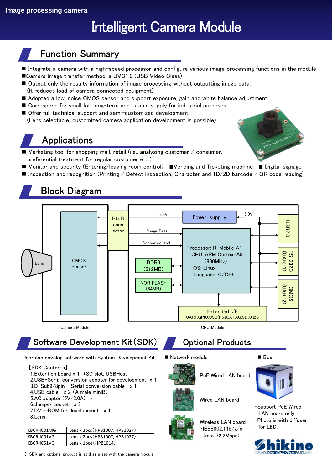# Intelligent Camera Module

## Function Summary

- Integrate a camera with a high-speed processor and configure various image processing functions in the module ■Camera image transfer method is UVC1.0 (USB Video Class)
- Output only the results information of image processing without outputting image data. (It reduces load of camera connected equipment)
- Adopted a low-noise CMOS sensor and support exposure, gain and white balance adjustment.
- Correspond for small lot, long-term and stable supply for industrial purposes.
- Offer full technical support and semi-customized development. (Lens selectable, customized camera application development is possible)

# **Applications**

- $\blacksquare$  Marketing tool for shopping mall, retail (i.e., analyzing customer / consumer. preferential treatment for regular customer etc.)
- Monitor and security (Entering/leaving room control) ■Vending and Ticketing machine Digital signage
- **Inspection and recognition (Printing / Defect inspection, Character and 1D/2D barcode / QR code reading)**



## Software Development Kit (SDK) Coptional Products

User can develop software with System Development Kit.  $\Box$  Network module  $\Box$  Box

【SDK Contents】 1.Extention board x 1 \*SD slot, USBHost 2.USB-Serial conversion adopter for development x 1 3.D-Sub9/8pin – Serial conversion cable x 1 4.USB cable x 2 (A male miniB) 5.AC adaptor (5V/2.0A) x 1 6.Jumper socket x 3 7.DVD-ROM for development x 1

8.Lens

| KBCR-iC01MG | Lens x 2pcs (HPB1007, HPB1027) |
|-------------|--------------------------------|
| KBCR-iC01VG | Lens x 2pcs (HPB1007, HPB1027) |
| KBCR-iC51VG | Lens x 1pce (HPB1014)          |
|             |                                |

※ SDK and optional product is sold as a set with the camera module.









PoE Wired LAN board

Wired LAN board





Wireless LAN board ・IEEE802.11b/g/n (max.72.2Mbps)





・Support PoE Wired LAN board only. ・Photo is with diffuser for LED.

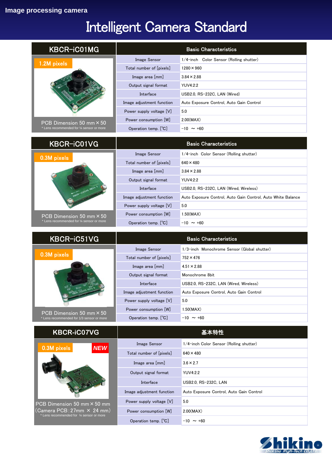# Intelligent Camera Standard

| KBCR-iC01MG                                              | <b>Basic Characteristics</b> |                                                              |  |  |  |  |
|----------------------------------------------------------|------------------------------|--------------------------------------------------------------|--|--|--|--|
|                                                          | Image Sensor                 | 1/4-inch Color Sensor (Rolling shutter)                      |  |  |  |  |
| 1.2M pixels                                              | Total number of [pixels]     | $1280 \times 960$                                            |  |  |  |  |
|                                                          | Image area [mm]              | $3.84 \times 2.88$                                           |  |  |  |  |
|                                                          | Output signal format         | <b>YUV4:2:2</b>                                              |  |  |  |  |
|                                                          | Interface                    | USB2.0, RS-232C, LAN (Wired)                                 |  |  |  |  |
|                                                          | Image adjustment function    | Auto Exposure Control. Auto Gain Control                     |  |  |  |  |
|                                                          | Power supply voltage [V]     | 5.0                                                          |  |  |  |  |
| $PCB$ Dimension 50 mm $\times$ 50                        | Power consumption [W]        | 2.00(MAX)                                                    |  |  |  |  |
| * Lens recommended for 1/4 sensor or more                | Operation temp. [°C]         | $-10 \sim +60$                                               |  |  |  |  |
| KBCR-iC01VG                                              |                              | <b>Basic Characteristics</b>                                 |  |  |  |  |
|                                                          | Image Sensor                 | 1/4-inch Color Sensor (Rolling shutter)                      |  |  |  |  |
| 0.3M pixels                                              | Total number of [pixels]     | $640 \times 480$                                             |  |  |  |  |
|                                                          | Image area [mm]              | $3.84 \times 2.88$                                           |  |  |  |  |
|                                                          | Output signal format         | <b>YUV4:2:2</b>                                              |  |  |  |  |
|                                                          | Interface                    | USB2.0, RS-232C, LAN (Wired, Wireless)                       |  |  |  |  |
|                                                          | Image adjustment function    | Auto Exposure Control, Auto Gain Control, Auto White Balance |  |  |  |  |
|                                                          | Power supply voltage [V]     | 5.0                                                          |  |  |  |  |
| PCB Dimension 50 mm $\times$ 50                          | Power consumption [W]        | 1.50(MAX)                                                    |  |  |  |  |
| * Lens recommended for 1/4 sensor or more                | Operation temp. [°C]         | $-10 \sim +60$                                               |  |  |  |  |
|                                                          |                              |                                                              |  |  |  |  |
| KBCR-iC51VG                                              |                              | <b>Basic Characteristics</b>                                 |  |  |  |  |
|                                                          | Image Sensor                 | 1/3-inch Monochrome Sensor (Global shutter)                  |  |  |  |  |
| 0.3M pixels                                              | Total number of [pixels]     | $752 \times 476$                                             |  |  |  |  |
|                                                          | Image area [mm]              | $4.51 \times 2.88$                                           |  |  |  |  |
|                                                          | Output signal format         | Monochrome 8bit                                              |  |  |  |  |
|                                                          | Interface                    | USB2.0, RS-232C, LAN (Wired, Wireless)                       |  |  |  |  |
|                                                          | Image adjustment function    | Auto Exposure Control, Auto Gain Control                     |  |  |  |  |
|                                                          | Power supply voltage [V]     | 5.0                                                          |  |  |  |  |
| PCB Dimension 50 mm $\times$ 50                          | Power consumption [W]        | 1.50(MAX)                                                    |  |  |  |  |
| * Lens recommended for 1/3 sensor or more                | Operation temp. [°C]         | $-10 \sim +60$                                               |  |  |  |  |
| <b>KBCR-iC07VG</b>                                       |                              | 基本特性                                                         |  |  |  |  |
|                                                          | Image Sensor                 | 1/4-inch Color Sensor (Rolling shutter)                      |  |  |  |  |
| <b>NEW</b><br>0.3M pixels                                | Total number of [pixels]     | $640 \times 480$                                             |  |  |  |  |
|                                                          | Image area [mm]              | $3.6 \times 2.7$                                             |  |  |  |  |
|                                                          | Output signal format         | <b>YUV4:2:2</b>                                              |  |  |  |  |
|                                                          | Interface                    | USB2.0, RS-232C, LAN                                         |  |  |  |  |
|                                                          | Image adjustment function    | Auto Exposure Control, Auto Gain Control                     |  |  |  |  |
|                                                          | Power supply voltage [V]     | 5.0                                                          |  |  |  |  |
| PCB Dimension 50 mm × 50 mm<br>(Camera PCB:27mm × 24 mm) | Power consumption [W]        | 2.00(MAX)                                                    |  |  |  |  |
| * Lens recommended for 1/4 sensor or more                |                              |                                                              |  |  |  |  |
|                                                          | Operation temp. [°C]         | $-10 \sim +60$                                               |  |  |  |  |

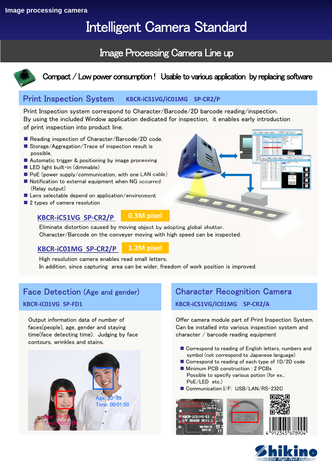# Intelligent Camera Standard

Image Processing Camera Line up



### Compact / Low power consumption ! Usable to various application by replacing software

### Print Inspection System **KBCR-iC51VG/iC01MG SP-CR2/P**

Print Inspection system correspond to Character/Barcode/2D barcode reading/inspection. By using the included Window application dedicated for inspection, it enables early introduction of print inspection into product line.

- Reading inspection of Character/Barcode/2D code.
- Storage/Aggregation/Trace of inspection result is possible.
- **Automatic trigger & positioning by image processing**
- LED light built-in (dimmable)
- $\blacksquare$  PoE (power supply/communication, with one LAN cable)
- Notification to external equipment when NG occurred (Relay output)
- $\blacksquare$  Lens selectable depend on application/environment
- 2 types of camera resolution

#### **KBCR-iC51VG SP-CR2/P 0.3M pixel**

Eliminate distortion caused by moving object by adopting global shutter. Character/Barcode on the conveyer moving with high speed can be inspected.

#### **KBCR-iC01MG SP-CR2/P 1.2M pixel**

High resolution camera enables read small letters. In addition, since capturing area can be wider, freedom of work position is improved.

### Face Detection (Age and gender)

#### **KBCR-iC01VG SP-FD1**

Output information data of number of faces(people), age, gender and staying time(face detecting time). Judging by face contours, wrinkles and stains.



## **Character Recognition Camera**

**KBCR-iC51VG SP-CR2/A SP-CR2/C KBCR-iC51VG/iC01MG SP-CR2/A**

Offer camera module part of Print Inspection System. Can be installed into various inspection system and character / barcode reading equipment

- Correspond to reading of English letters, numbers and symbol (not correspond to Japanese language)
- Correspond to reading of each type of 1D/2D code
- Minimum PCB construction : 2 PCBs Possible to specify various potion (for ex., PoE/LED etc.)
- Communication I/F: USB/LAN/RS-232C

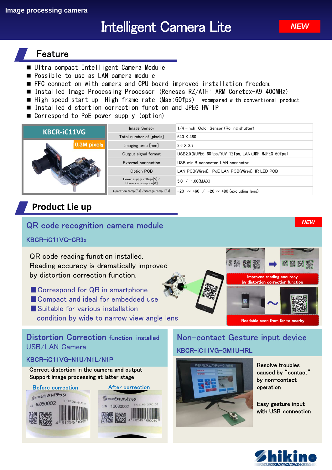# Intelligent Camera Lite

#### Feature

- Ultra compact Intelligent Camera Module
- **Possible to use as LAN camera module**
- FFC connection with camera and CPU board improved installation freedom.
- Installed Image Processing Processor (Renesas RZ/A1H: ARM Coretex-A9 400MHz)
- $\blacksquare$  High speed start up. High frame rate (Max:60fps) \*compared with conventional product
- Installed distortion correction function and JPEG HW IP
- Correspond to PoE power supply (option)

| <b>KBCR-iC11VG</b> | Image Sensor                                      | $1/4$ -inch Color Sensor (Rolling shutter)           |  |  |
|--------------------|---------------------------------------------------|------------------------------------------------------|--|--|
|                    | Total number of [pixels]                          | 640 X 480                                            |  |  |
| $0.3M$ pixels      | Imaging area $\text{[mm]}$                        | $3.6 \times 2.7$                                     |  |  |
|                    | Output signal format                              | USB2.0 (MJPEG 60fps/YUV 12fps, LAN (UDP MJPEG 60fps) |  |  |
|                    | External connection                               | USB miniB connector, LAN connector                   |  |  |
|                    | Option PCB                                        | LAN PCB(Wired), PoE LAN PCB(Wired), IR LED PCB       |  |  |
|                    | Power supply voltage[V] /<br>Power consumption[W] | 1.00(MAX)<br>5.0                                     |  |  |
|                    | Operation temp.[°C] /Storage temp. [°C]           | $-20 \sim +60$ / $-20 \sim +80$ (excluding lens)     |  |  |

### **Product Lie up**

#### QR code recognition camera module

#### KBCR-iC11VG-CR3x

QR code reading function installed. Reading accuracy is dramatically improved by distortion correction function.

- Correspond for QR in smartphone
- Compact and ideal for embedded use
- Suitable for various installation condition by wide to narrow view angle lens

#### Distortion Correction function installed USB/LAN Camera

#### KBCR-iC11VG-N1U/N1L/N1P

Correct distortion in the camera and output Support image processing at latter stage



### Non-contact Gesture input device KBCR-iC11VG-GM1U-IRL



Resolve troubles caused by "contact" by non-contact operation

Easy gesture input with USB connection